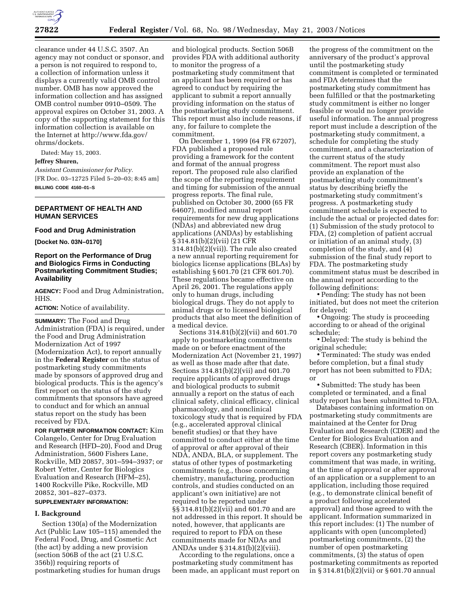

clearance under 44 U.S.C. 3507. An agency may not conduct or sponsor, and a person is not required to respond to, a collection of information unless it displays a currently valid OMB control number. OMB has now approved the information collection and has assigned OMB control number 0910–0509. The approval expires on October 31, 2003. A copy of the supporting statement for this information collection is available on the Internet at http://www.fda.gov/ ohrms/dockets.

Dated: May 15, 2003.

### **Jeffrey Shuren,**

*Assistant Commissioner for Policy.* [FR Doc. 03–12725 Filed 5–20–03; 8:45 am] **BILLING CODE 4160–01–S**

# **DEPARTMENT OF HEALTH AND HUMAN SERVICES**

#### **Food and Drug Administration**

**[Docket No. 03N–0170]**

## **Report on the Performance of Drug and Biologics Firms in Conducting Postmarketing Commitment Studies; Availability**

**AGENCY:** Food and Drug Administration, HHS.

**ACTION:** Notice of availability.

**SUMMARY:** The Food and Drug Administration (FDA) is required, under the Food and Drug Administration Modernization Act of 1997 (Modernization Act), to report annually in the **Federal Register** on the status of postmarketing study commitments made by sponsors of approved drug and biological products. This is the agency's first report on the status of the study commitments that sponsors have agreed to conduct and for which an annual status report on the study has been received by FDA.

**FOR FURTHER INFORMATION CONTACT:** Kim Colangelo, Center for Drug Evaluation and Research (HFD–20), Food and Drug Administration, 5600 Fishers Lane, Rockville, MD 20857, 301–594–3937; or Robert Yetter, Center for Biologics Evaluation and Research (HFM–25), 1400 Rockville Pike, Rockville, MD 20852, 301–827–0373.

### **SUPPLEMENTARY INFORMATION:**

### **I. Background**

Section 130(a) of the Modernization Act (Public Law 105–115) amended the Federal Food, Drug, and Cosmetic Act (the act) by adding a new provision (section 506B of the act (21 U.S.C. 356b)) requiring reports of postmarketing studies for human drugs

and biological products. Section 506B provides FDA with additional authority to monitor the progress of a postmarketing study commitment that an applicant has been required or has agreed to conduct by requiring the applicant to submit a report annually providing information on the status of the postmarketing study commitment. This report must also include reasons, if any, for failure to complete the commitment.

On December 1, 1999 (64 FR 67207), FDA published a proposed rule providing a framework for the content and format of the annual progress report. The proposed rule also clarified the scope of the reporting requirement and timing for submission of the annual progress reports. The final rule, published on October 30, 2000 (65 FR 64607), modified annual report requirements for new drug applications (NDAs) and abbreviated new drug applications (ANDAs) by establishing § 314.81(b)(2)(vii) (21 CFR 314.81(b)(2)(vii)). The rule also created a new annual reporting requirement for biologics license applications (BLAs) by establishing § 601.70 (21 CFR 601.70). These regulations became effective on April 26, 2001. The regulations apply only to human drugs, including biological drugs. They do not apply to animal drugs or to licensed biological products that also meet the definition of a medical device.

Sections 314.81(b)(2)(vii) and 601.70 apply to postmarketing commitments made on or before enactment of the Modernization Act (November 21, 1997) as well as those made after that date. Sections 314.81(b)(2)(vii) and 601.70 require applicants of approved drugs and biological products to submit annually a report on the status of each clinical safety, clinical efficacy, clinical pharmacology, and nonclinical toxicology study that is required by FDA (e.g., accelerated approval clinical benefit studies) or that they have committed to conduct either at the time of approval or after approval of their NDA, ANDA, BLA, or supplement. The status of other types of postmarketing commitments (e.g., those concerning chemistry, manufacturing, production controls, and studies conducted on an applicant's own initiative) are not required to be reported under §§ 314.81(b)(2)(vii) and 601.70 and are not addressed in this report. It should be noted, however, that applicants are required to report to FDA on these commitments made for NDAs and ANDAs under § 314.81(b)(2)(viii).

According to the regulations, once a postmarketing study commitment has been made, an applicant must report on

the progress of the commitment on the anniversary of the product's approval until the postmarketing study commitment is completed or terminated and FDA determines that the postmarketing study commitment has been fulfilled or that the postmarketing study commitment is either no longer feasible or would no longer provide useful information. The annual progress report must include a description of the postmarketing study commitment, a schedule for completing the study commitment, and a characterization of the current status of the study commitment. The report must also provide an explanation of the postmarketing study commitment's status by describing briefly the postmarketing study commitment's progress. A postmarketing study commitment schedule is expected to include the actual or projected dates for: (1) Submission of the study protocol to FDA, (2) completion of patient accrual or initiation of an animal study, (3) completion of the study, and (4) submission of the final study report to FDA. The postmarketing study commitment status must be described in the annual report according to the following definitions:

• Pending: The study has not been initiated, but does not meet the criterion for delayed;

• Ongoing: The study is proceeding according to or ahead of the original schedule;

• Delayed: The study is behind the original schedule;

• Terminated: The study was ended before completion, but a final study report has not been submitted to FDA; or

• Submitted: The study has been completed or terminated, and a final study report has been submitted to FDA.

Databases containing information on postmarketing study commitments are maintained at the Center for Drug Evaluation and Research (CDER) and the Center for Biologics Evaluation and Research (CBER). Information in this report covers any postmarketing study commitment that was made, in writing, at the time of approval or after approval of an application or a supplement to an application, including those required (e.g., to demonstrate clinical benefit of a product following accelerated approval) and those agreed to with the applicant. Information summarized in this report includes: (1) The number of applicants with open (uncompleted) postmarketing commitments, (2) the number of open postmarketing commitments, (3) the status of open postmarketing commitments as reported in § 314.81(b)(2)(vii) or § 601.70 annual